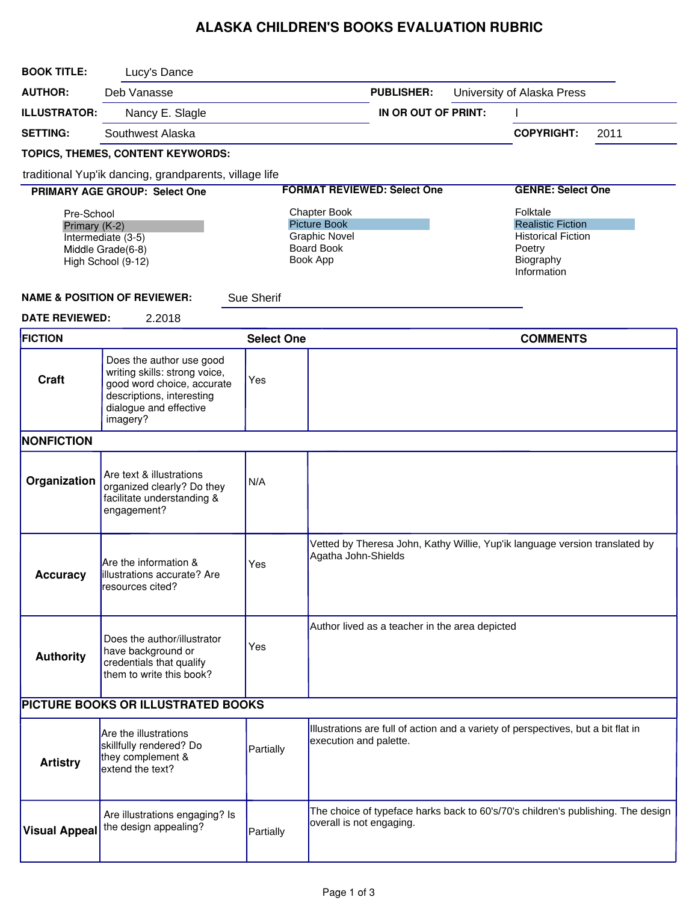## ALASKA CHILDREN'S BOOKS EVALUATION RUBRIC

| <b>BOOK TITLE:</b>                                                                           | Lucy's Dance                                                                                                                                               |                                                                                                     |                          |                                                |  |                                                                                                         |      |  |
|----------------------------------------------------------------------------------------------|------------------------------------------------------------------------------------------------------------------------------------------------------------|-----------------------------------------------------------------------------------------------------|--------------------------|------------------------------------------------|--|---------------------------------------------------------------------------------------------------------|------|--|
| <b>AUTHOR:</b>                                                                               | Deb Vanasse                                                                                                                                                |                                                                                                     |                          | <b>PUBLISHER:</b>                              |  | University of Alaska Press                                                                              |      |  |
| <b>ILLUSTRATOR:</b>                                                                          | Nancy E. Slagle                                                                                                                                            |                                                                                                     |                          | IN OR OUT OF PRINT:                            |  |                                                                                                         |      |  |
| <b>SETTING:</b>                                                                              | Southwest Alaska                                                                                                                                           |                                                                                                     |                          |                                                |  | <b>COPYRIGHT:</b>                                                                                       | 2011 |  |
|                                                                                              | TOPICS, THEMES, CONTENT KEYWORDS:                                                                                                                          |                                                                                                     |                          |                                                |  |                                                                                                         |      |  |
| traditional Yup'ik dancing, grandparents, village life                                       |                                                                                                                                                            |                                                                                                     |                          |                                                |  |                                                                                                         |      |  |
|                                                                                              | <b>PRIMARY AGE GROUP: Select One</b>                                                                                                                       |                                                                                                     |                          | <b>FORMAT REVIEWED: Select One</b>             |  | <b>GENRE: Select One</b>                                                                                |      |  |
| Pre-School<br>Primary (K-2)<br>Intermediate (3-5)<br>Middle Grade(6-8)<br>High School (9-12) |                                                                                                                                                            | <b>Chapter Book</b><br><b>Picture Book</b><br><b>Graphic Novel</b><br><b>Board Book</b><br>Book App |                          |                                                |  | Folktale<br><b>Realistic Fiction</b><br><b>Historical Fiction</b><br>Poetry<br>Biography<br>Information |      |  |
|                                                                                              | <b>NAME &amp; POSITION OF REVIEWER:</b>                                                                                                                    | Sue Sherif                                                                                          |                          |                                                |  |                                                                                                         |      |  |
| <b>DATE REVIEWED:</b>                                                                        | 2.2018                                                                                                                                                     |                                                                                                     |                          |                                                |  |                                                                                                         |      |  |
| <b>FICTION</b>                                                                               |                                                                                                                                                            | <b>Select One</b>                                                                                   |                          |                                                |  | <b>COMMENTS</b>                                                                                         |      |  |
| Craft                                                                                        | Does the author use good<br>writing skills: strong voice,<br>good word choice, accurate<br>descriptions, interesting<br>dialogue and effective<br>imagery? | Yes                                                                                                 |                          |                                                |  |                                                                                                         |      |  |
| <b>NONFICTION</b>                                                                            |                                                                                                                                                            |                                                                                                     |                          |                                                |  |                                                                                                         |      |  |
| Organization                                                                                 | Are text & illustrations<br>organized clearly? Do they<br>facilitate understanding &<br>engagement?                                                        | N/A                                                                                                 |                          |                                                |  |                                                                                                         |      |  |
| <b>Accuracy</b>                                                                              | Are the information &<br><b>Illustrations accurate?</b> Are<br>resources cited?                                                                            | Yes                                                                                                 | Agatha John-Shields      |                                                |  | Vetted by Theresa John, Kathy Willie, Yup'ik language version translated by                             |      |  |
| <b>Authority</b>                                                                             | Does the author/illustrator<br>have background or<br>credentials that qualify<br>them to write this book?                                                  | Yes                                                                                                 |                          | Author lived as a teacher in the area depicted |  |                                                                                                         |      |  |
| PICTURE BOOKS OR ILLUSTRATED BOOKS                                                           |                                                                                                                                                            |                                                                                                     |                          |                                                |  |                                                                                                         |      |  |
| <b>Artistry</b>                                                                              | Are the illustrations<br>skillfully rendered? Do<br>they complement &<br>extend the text?                                                                  | Partially                                                                                           | execution and palette.   |                                                |  | Illustrations are full of action and a variety of perspectives, but a bit flat in                       |      |  |
| <b>Visual Appeal</b>                                                                         | Are illustrations engaging? Is<br>the design appealing?                                                                                                    | Partially                                                                                           | overall is not engaging. |                                                |  | The choice of typeface harks back to 60's/70's children's publishing. The design                        |      |  |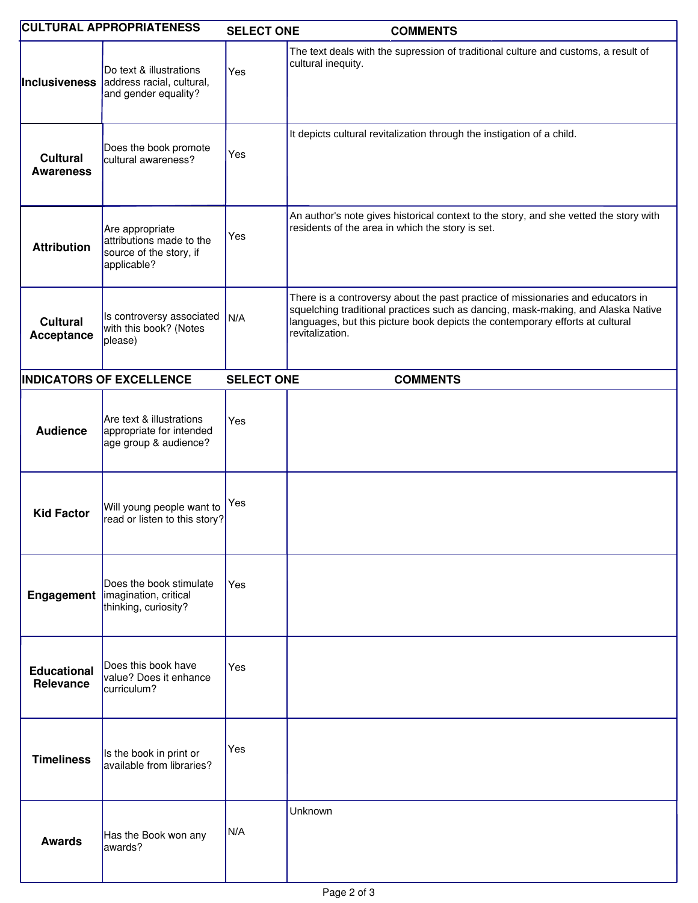| <b>CULTURAL APPROPRIATENESS</b>     |                                                                                                   | <b>SELECT ONE</b> | <b>COMMENTS</b>                                                                                                                                                                                                                                                         |
|-------------------------------------|---------------------------------------------------------------------------------------------------|-------------------|-------------------------------------------------------------------------------------------------------------------------------------------------------------------------------------------------------------------------------------------------------------------------|
|                                     | Do text & illustrations<br><b>Inclusiveness</b> address racial, cultural,<br>and gender equality? | Yes               | The text deals with the supression of traditional culture and customs, a result of<br>cultural inequity.                                                                                                                                                                |
| <b>Cultural</b><br><b>Awareness</b> | Does the book promote<br>cultural awareness?                                                      | Yes               | It depicts cultural revitalization through the instigation of a child.                                                                                                                                                                                                  |
| <b>Attribution</b>                  | Are appropriate<br>attributions made to the<br>source of the story, if<br>applicable?             | Yes               | An author's note gives historical context to the story, and she vetted the story with<br>residents of the area in which the story is set.                                                                                                                               |
| <b>Cultural</b><br>Acceptance       | Is controversy associated<br>with this book? (Notes<br>please)                                    | N/A               | There is a controversy about the past practice of missionaries and educators in<br>squelching traditional practices such as dancing, mask-making, and Alaska Native<br>languages, but this picture book depicts the contemporary efforts at cultural<br>revitalization. |
|                                     | <b>INDICATORS OF EXCELLENCE</b>                                                                   | <b>SELECT ONE</b> | <b>COMMENTS</b>                                                                                                                                                                                                                                                         |
| <b>Audience</b>                     | Are text & illustrations<br>appropriate for intended<br>age group & audience?                     | Yes               |                                                                                                                                                                                                                                                                         |
| <b>Kid Factor</b>                   | Will young people want to<br>read or listen to this story?                                        | Yes               |                                                                                                                                                                                                                                                                         |
|                                     | Does the book stimulate<br>Engagement   imagination, critical<br>thinking, curiosity?             | Yes               |                                                                                                                                                                                                                                                                         |
| <b>Educational</b><br>Relevance     | Does this book have<br>value? Does it enhance<br>curriculum?                                      | Yes               |                                                                                                                                                                                                                                                                         |
| <b>Timeliness</b>                   | Is the book in print or<br>available from libraries?                                              | Yes               |                                                                                                                                                                                                                                                                         |
| <b>Awards</b>                       | Has the Book won any<br>lawards?                                                                  | N/A               | Unknown                                                                                                                                                                                                                                                                 |